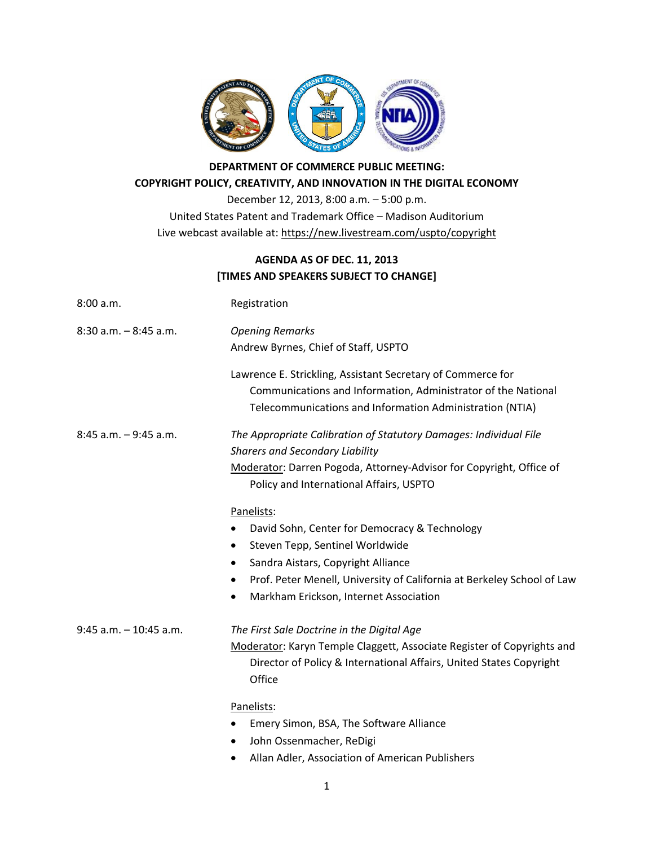

## **DEPARTMENT OF COMMERCE PUBLIC MEETING: COPYRIGHT POLICY, CREATIVITY, AND INNOVATION IN THE DIGITAL ECONOMY**

December 12, 2013, 8:00 a.m. – 5:00 p.m. United States Patent and Trademark Office – Madison Auditorium Live webcast available at: https://new.livestream.com/uspto/copyright

## **AGENDA AS OF DEC. 11, 2013 [TIMES AND SPEAKERS SUBJECT TO CHANGE]**

| 8:00 a.m.                 | Registration                                                                                                                                                                                                                                                                                      |
|---------------------------|---------------------------------------------------------------------------------------------------------------------------------------------------------------------------------------------------------------------------------------------------------------------------------------------------|
| $8:30$ a.m. $-8:45$ a.m.  | <b>Opening Remarks</b><br>Andrew Byrnes, Chief of Staff, USPTO                                                                                                                                                                                                                                    |
|                           | Lawrence E. Strickling, Assistant Secretary of Commerce for<br>Communications and Information, Administrator of the National<br>Telecommunications and Information Administration (NTIA)                                                                                                          |
| $8:45$ a.m. $-9:45$ a.m.  | The Appropriate Calibration of Statutory Damages: Individual File<br><b>Sharers and Secondary Liability</b>                                                                                                                                                                                       |
|                           | Moderator: Darren Pogoda, Attorney-Advisor for Copyright, Office of<br>Policy and International Affairs, USPTO                                                                                                                                                                                    |
|                           | Panelists:<br>David Sohn, Center for Democracy & Technology<br>$\bullet$<br>Steven Tepp, Sentinel Worldwide<br>$\bullet$<br>Sandra Aistars, Copyright Alliance<br>٠<br>Prof. Peter Menell, University of California at Berkeley School of Law<br>٠<br>Markham Erickson, Internet Association<br>٠ |
| $9:45$ a.m. $-10:45$ a.m. | The First Sale Doctrine in the Digital Age<br>Moderator: Karyn Temple Claggett, Associate Register of Copyrights and<br>Director of Policy & International Affairs, United States Copyright<br>Office                                                                                             |
|                           | Panelists:<br>Emery Simon, BSA, The Software Alliance<br>John Ossenmacher, ReDigi<br>٠                                                                                                                                                                                                            |

Allan Adler, Association of American Publishers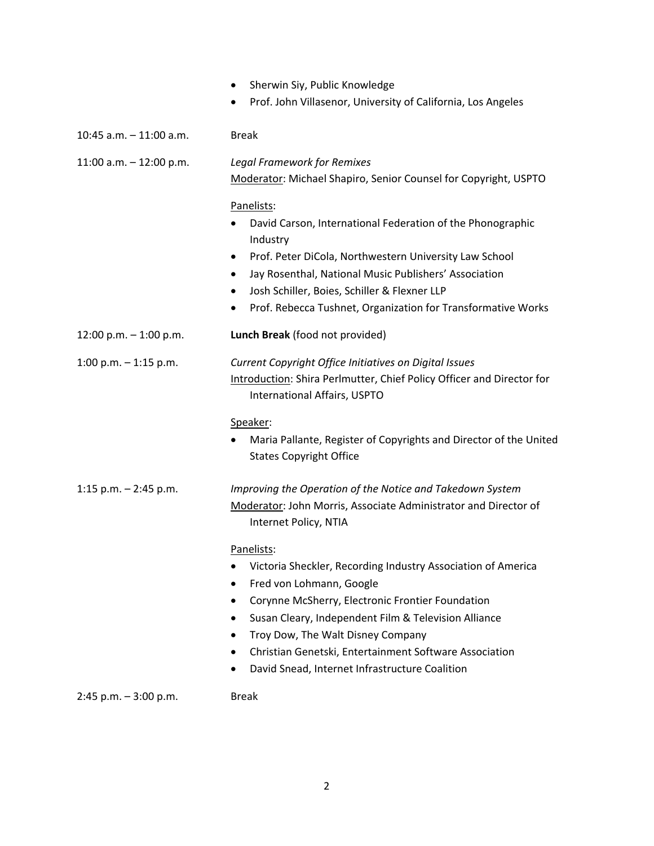|                           | Sherwin Siy, Public Knowledge<br>Prof. John Villasenor, University of California, Los Angeles                                                                                                                                                                                                                                                                                 |
|---------------------------|-------------------------------------------------------------------------------------------------------------------------------------------------------------------------------------------------------------------------------------------------------------------------------------------------------------------------------------------------------------------------------|
| 10:45 a.m. $-$ 11:00 a.m. | <b>Break</b>                                                                                                                                                                                                                                                                                                                                                                  |
| 11:00 a.m. $-$ 12:00 p.m. | <b>Legal Framework for Remixes</b><br>Moderator: Michael Shapiro, Senior Counsel for Copyright, USPTO                                                                                                                                                                                                                                                                         |
|                           | Panelists:<br>David Carson, International Federation of the Phonographic<br>Industry<br>Prof. Peter DiCola, Northwestern University Law School<br>$\bullet$<br>Jay Rosenthal, National Music Publishers' Association<br>Josh Schiller, Boies, Schiller & Flexner LLP<br>Prof. Rebecca Tushnet, Organization for Transformative Works<br>٠                                     |
| 12:00 p.m. $-$ 1:00 p.m.  | Lunch Break (food not provided)                                                                                                                                                                                                                                                                                                                                               |
| 1:00 p.m. $-$ 1:15 p.m.   | Current Copyright Office Initiatives on Digital Issues<br>Introduction: Shira Perlmutter, Chief Policy Officer and Director for<br>International Affairs, USPTO                                                                                                                                                                                                               |
|                           | Speaker:<br>Maria Pallante, Register of Copyrights and Director of the United<br><b>States Copyright Office</b>                                                                                                                                                                                                                                                               |
| 1:15 p.m. $-$ 2:45 p.m.   | Improving the Operation of the Notice and Takedown System<br>Moderator: John Morris, Associate Administrator and Director of<br>Internet Policy, NTIA                                                                                                                                                                                                                         |
|                           | Panelists:<br>Victoria Sheckler, Recording Industry Association of America<br>٠<br>Fred von Lohmann, Google<br>٠<br>Corynne McSherry, Electronic Frontier Foundation<br>Susan Cleary, Independent Film & Television Alliance<br>Troy Dow, The Walt Disney Company<br>Christian Genetski, Entertainment Software Association<br>David Snead, Internet Infrastructure Coalition |

2:45 p.m. – 3:00 p.m. Break